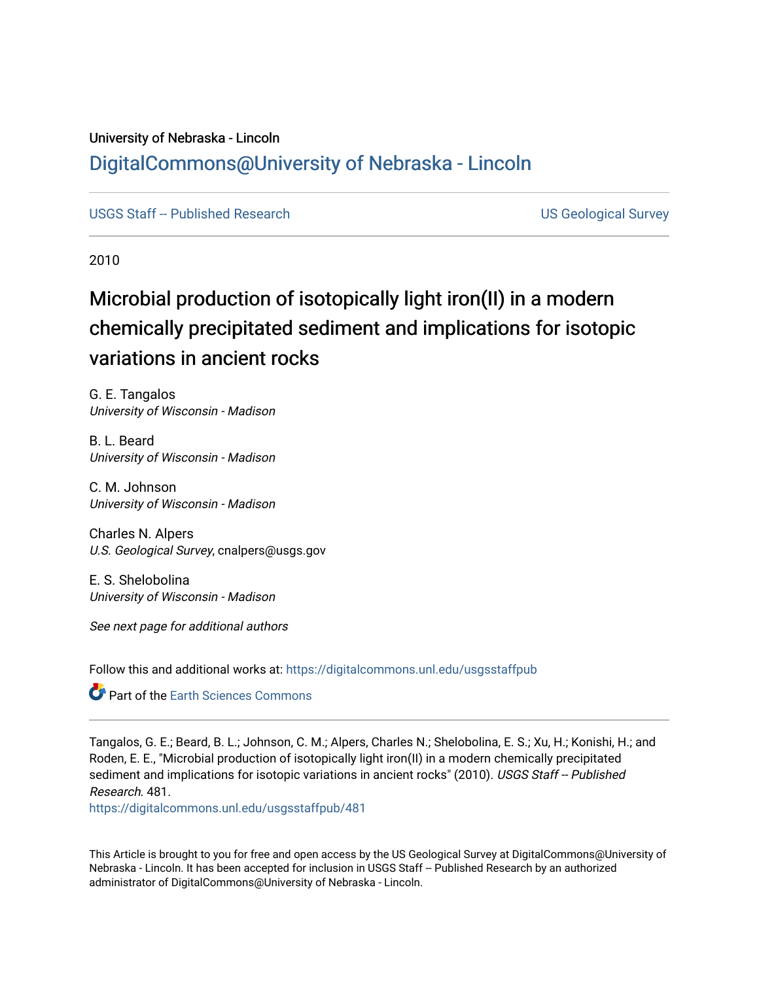## University of Nebraska - Lincoln [DigitalCommons@University of Nebraska - Lincoln](https://digitalcommons.unl.edu/)

[USGS Staff -- Published Research](https://digitalcommons.unl.edu/usgsstaffpub) **Network Constructs and Constructs** US Geological Survey

2010

# Microbial production of isotopically light iron(II) in a modern chemically precipitated sediment and implications for isotopic variations in ancient rocks

G. E. Tangalos University of Wisconsin - Madison

B. L. Beard University of Wisconsin - Madison

C. M. Johnson University of Wisconsin - Madison

Charles N. Alpers U.S. Geological Survey, cnalpers@usgs.gov

E. S. Shelobolina University of Wisconsin - Madison

See next page for additional authors

Follow this and additional works at: [https://digitalcommons.unl.edu/usgsstaffpub](https://digitalcommons.unl.edu/usgsstaffpub?utm_source=digitalcommons.unl.edu%2Fusgsstaffpub%2F481&utm_medium=PDF&utm_campaign=PDFCoverPages) 

**C** Part of the Earth Sciences Commons

Tangalos, G. E.; Beard, B. L.; Johnson, C. M.; Alpers, Charles N.; Shelobolina, E. S.; Xu, H.; Konishi, H.; and Roden, E. E., "Microbial production of isotopically light iron(II) in a modern chemically precipitated sediment and implications for isotopic variations in ancient rocks" (2010). USGS Staff -- Published Research. 481.

[https://digitalcommons.unl.edu/usgsstaffpub/481](https://digitalcommons.unl.edu/usgsstaffpub/481?utm_source=digitalcommons.unl.edu%2Fusgsstaffpub%2F481&utm_medium=PDF&utm_campaign=PDFCoverPages) 

This Article is brought to you for free and open access by the US Geological Survey at DigitalCommons@University of Nebraska - Lincoln. It has been accepted for inclusion in USGS Staff -- Published Research by an authorized administrator of DigitalCommons@University of Nebraska - Lincoln.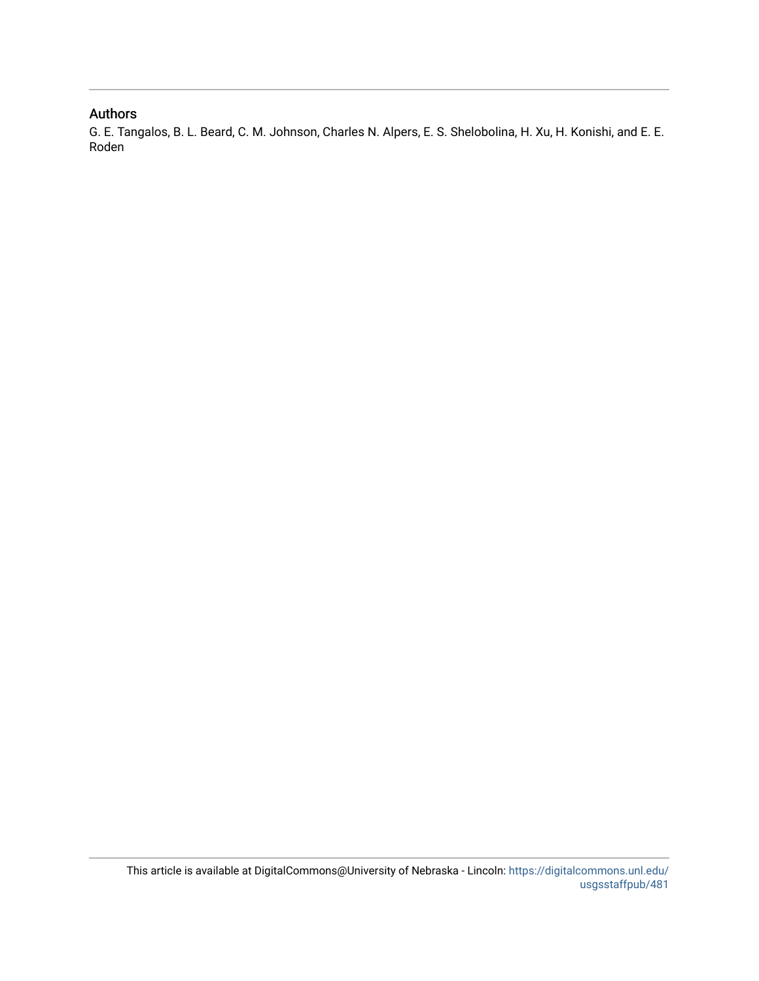## Authors

G. E. Tangalos, B. L. Beard, C. M. Johnson, Charles N. Alpers, E. S. Shelobolina, H. Xu, H. Konishi, and E. E. Roden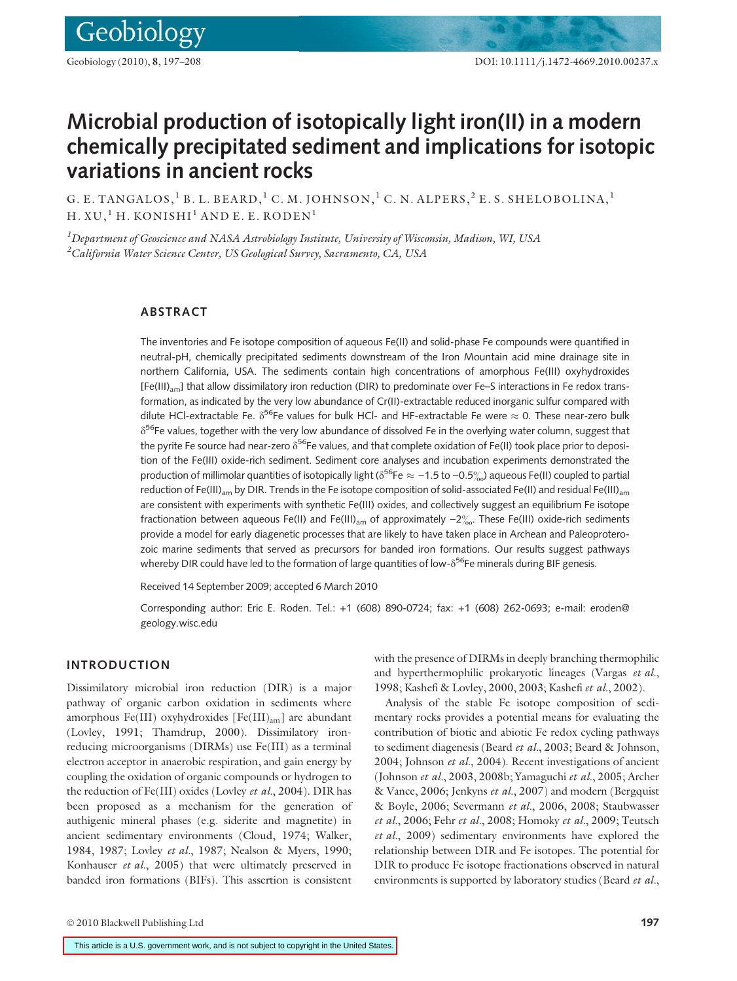## Microbial production of isotopically light iron(II) in a modern chemically precipitated sediment and implications for isotopic variations in ancient rocks

G. E. TANGALOS,  ${}^{1}$  B. L. BEARD,  ${}^{1}$  C. M. JOHNSON,  ${}^{1}$  C. N. ALPERS,  ${}^{2}$  E. S. SHELOBOLINA,  ${}^{1}$  $H. XU, ^1H. KONISHI<sup>1</sup> AND E. E. RODEN<sup>1</sup>$ 

 $^{\textit{1}}$ Department of Geoscience and NASA Astrobiology Institute, University of Wisconsin, Madison, WI, USA  $\rm ^{2}$ California Water Science Center, US Geological Survey, Sacramento, CA, USA

## ABSTRACT

The inventories and Fe isotope composition of aqueous Fe(II) and solid-phase Fe compounds were quantified in neutral-pH, chemically precipitated sediments downstream of the Iron Mountain acid mine drainage site in northern California, USA. The sediments contain high concentrations of amorphous Fe(III) oxyhydroxides [Fe(III)<sub>am</sub>] that allow dissimilatory iron reduction (DIR) to predominate over Fe–S interactions in Fe redox transformation, as indicated by the very low abundance of Cr(II)-extractable reduced inorganic sulfur compared with dilute HCl-extractable Fe.  $\delta^{56}$ Fe values for bulk HCl- and HF-extractable Fe were  $\approx$  0. These near-zero bulk  $\delta^{56}$ Fe values, together with the very low abundance of dissolved Fe in the overlying water column, suggest that the pyrite Fe source had near-zero  $\delta^{56}F$ e values, and that complete oxidation of Fe(II) took place prior to deposition of the Fe(III) oxide-rich sediment. Sediment core analyses and incubation experiments demonstrated the production of millimolar quantities of isotopically light ( $\delta^{56}$ Fe  $\approx -1.5$  to  $-0.5\%$ ) aqueous Fe(II) coupled to partial reduction of Fe(III)<sub>am</sub> by DIR. Trends in the Fe isotope composition of solid-associated Fe(II) and residual Fe(III)<sub>am</sub> are consistent with experiments with synthetic Fe(III) oxides, and collectively suggest an equilibrium Fe isotope fractionation between aqueous Fe(II) and Fe(III)<sub>am</sub> of approximately  $-2\%$ . These Fe(III) oxide-rich sediments provide a model for early diagenetic processes that are likely to have taken place in Archean and Paleoproterozoic marine sediments that served as precursors for banded iron formations. Our results suggest pathways whereby DIR could have led to the formation of large quantities of low- $\delta^{56}$ Fe minerals during BIF genesis.

Received 14 September 2009; accepted 6 March 2010

Corresponding author: Eric E. Roden. Tel.: +1 (608) 890-0724; fax: +1 (608) 262-0693; e-mail: eroden@ geology.wisc.edu

#### INTRODUCTION

Dissimilatory microbial iron reduction (DIR) is a major pathway of organic carbon oxidation in sediments where amorphous Fe(III) oxyhydroxides [Fe(III)<sub>am</sub>] are abundant (Lovley, 1991; Thamdrup, 2000). Dissimilatory ironreducing microorganisms (DIRMs) use Fe(III) as a terminal electron acceptor in anaerobic respiration, and gain energy by coupling the oxidation of organic compounds or hydrogen to the reduction of Fe(III) oxides (Lovley et al., 2004). DIR has been proposed as a mechanism for the generation of authigenic mineral phases (e.g. siderite and magnetite) in ancient sedimentary environments (Cloud, 1974; Walker, 1984, 1987; Lovley et al., 1987; Nealson & Myers, 1990; Konhauser et al., 2005) that were ultimately preserved in banded iron formations (BIFs). This assertion is consistent with the presence of DIRMs in deeply branching thermophilic and hyperthermophilic prokaryotic lineages (Vargas et al., 1998; Kashefi & Lovley, 2000, 2003; Kashefi et al., 2002).

Analysis of the stable Fe isotope composition of sedimentary rocks provides a potential means for evaluating the contribution of biotic and abiotic Fe redox cycling pathways to sediment diagenesis (Beard et al., 2003; Beard & Johnson, 2004; Johnson et al., 2004). Recent investigations of ancient (Johnson et al., 2003, 2008b; Yamaguchi et al., 2005; Archer & Vance, 2006; Jenkyns et al., 2007) and modern (Bergquist & Boyle, 2006; Severmann et al., 2006, 2008; Staubwasser et al., 2006; Fehr et al., 2008; Homoky et al., 2009; Teutsch et al., 2009) sedimentary environments have explored the relationship between DIR and Fe isotopes. The potential for DIR to produce Fe isotope fractionations observed in natural environments is supported by laboratory studies (Beard et al.,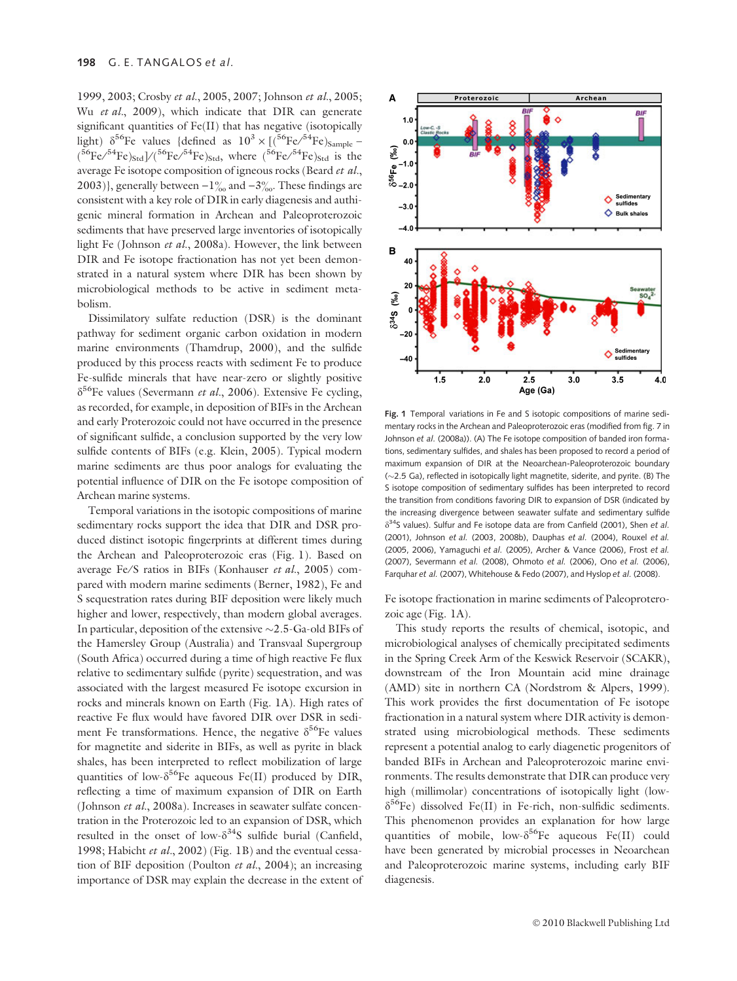1999, 2003; Crosby et al., 2005, 2007; Johnson et al., 2005; Wu et al., 2009), which indicate that DIR can generate significant quantities of Fe(II) that has negative (isotopically light)  $\delta^{56}$ Fe values {defined as  $10^3 \times [(^{56}$ Fe $/^{54}$ Fe $)_{\rm Sample}$  –  $\rm ( ^{56}Fe/^{54}Fe)_{Std}/^{56}Fe/^{54}Fe)_{Std}$ , where  $\rm (^{56}Fe/^{54}Fe)_{Std}$  is the average Fe isotope composition of igneous rocks (Beard et al., 2003)}, generally between  $-1\%$  and  $-3\%$ . These findings are consistent with a key role of DIR in early diagenesis and authigenic mineral formation in Archean and Paleoproterozoic sediments that have preserved large inventories of isotopically light Fe (Johnson et al., 2008a). However, the link between DIR and Fe isotope fractionation has not yet been demonstrated in a natural system where DIR has been shown by microbiological methods to be active in sediment metabolism.

Dissimilatory sulfate reduction (DSR) is the dominant pathway for sediment organic carbon oxidation in modern marine environments (Thamdrup, 2000), and the sulfide produced by this process reacts with sediment Fe to produce Fe-sulfide minerals that have near-zero or slightly positive  $\delta^{56}$ Fe values (Severmann *et al.*, 2006). Extensive Fe cycling, as recorded, for example, in deposition of BIFs in the Archean and early Proterozoic could not have occurred in the presence of significant sulfide, a conclusion supported by the very low sulfide contents of BIFs (e.g. Klein, 2005). Typical modern marine sediments are thus poor analogs for evaluating the potential influence of DIR on the Fe isotope composition of Archean marine systems.

Temporal variations in the isotopic compositions of marine sedimentary rocks support the idea that DIR and DSR produced distinct isotopic fingerprints at different times during the Archean and Paleoproterozoic eras (Fig. 1). Based on average Fe/S ratios in BIFs (Konhauser et al., 2005) compared with modern marine sediments (Berner, 1982), Fe and S sequestration rates during BIF deposition were likely much higher and lower, respectively, than modern global averages. In particular, deposition of the extensive  $\sim$  2.5-Ga-old BIFs of the Hamersley Group (Australia) and Transvaal Supergroup (South Africa) occurred during a time of high reactive Fe flux relative to sedimentary sulfide (pyrite) sequestration, and was associated with the largest measured Fe isotope excursion in rocks and minerals known on Earth (Fig. 1A). High rates of reactive Fe flux would have favored DIR over DSR in sediment Fe transformations. Hence, the negative  $\delta^{56}$ Fe values for magnetite and siderite in BIFs, as well as pyrite in black shales, has been interpreted to reflect mobilization of large quantities of low- $\delta^{56}$ Fe aqueous Fe(II) produced by DIR, reflecting a time of maximum expansion of DIR on Earth (Johnson et al., 2008a). Increases in seawater sulfate concentration in the Proterozoic led to an expansion of DSR, which resulted in the onset of low- $\delta^{34}S$  sulfide burial (Canfield, 1998; Habicht et al., 2002) (Fig. 1B) and the eventual cessation of BIF deposition (Poulton et al., 2004); an increasing importance of DSR may explain the decrease in the extent of



Fig. 1 Temporal variations in Fe and S isotopic compositions of marine sedimentary rocks in the Archean and Paleoproterozoic eras (modified from fig. 7 in Johnson et al. (2008a)). (A) The Fe isotope composition of banded iron formations, sedimentary sulfides, and shales has been proposed to record a period of maximum expansion of DIR at the Neoarchean-Paleoproterozoic boundary  $(-2.5$  Ga), reflected in isotopically light magnetite, siderite, and pyrite. (B) The S isotope composition of sedimentary sulfides has been interpreted to record the transition from conditions favoring DIR to expansion of DSR (indicated by the increasing divergence between seawater sulfate and sedimentary sulfide  $\delta^{34}$ S values). Sulfur and Fe isotope data are from Canfield (2001), Shen et al. (2001), Johnson et al. (2003, 2008b), Dauphas et al. (2004), Rouxel et al. (2005, 2006), Yamaguchi et al. (2005), Archer & Vance (2006), Frost et al. (2007), Severmann et al. (2008), Ohmoto et al. (2006), Ono et al. (2006), Farquhar et al. (2007), Whitehouse & Fedo (2007), and Hyslop et al. (2008).

Fe isotope fractionation in marine sediments of Paleoproterozoic age (Fig. 1A).

This study reports the results of chemical, isotopic, and microbiological analyses of chemically precipitated sediments in the Spring Creek Arm of the Keswick Reservoir (SCAKR), downstream of the Iron Mountain acid mine drainage (AMD) site in northern CA (Nordstrom & Alpers, 1999). This work provides the first documentation of Fe isotope fractionation in a natural system where DIR activity is demonstrated using microbiological methods. These sediments represent a potential analog to early diagenetic progenitors of banded BIFs in Archean and Paleoproterozoic marine environments. The results demonstrate that DIR can produce very high (millimolar) concentrations of isotopically light (low- $\delta^{56}$ Fe) dissolved Fe(II) in Fe-rich, non-sulfidic sediments. This phenomenon provides an explanation for how large quantities of mobile, low- $\delta^{56}$ Fe aqueous Fe(II) could have been generated by microbial processes in Neoarchean and Paleoproterozoic marine systems, including early BIF diagenesis.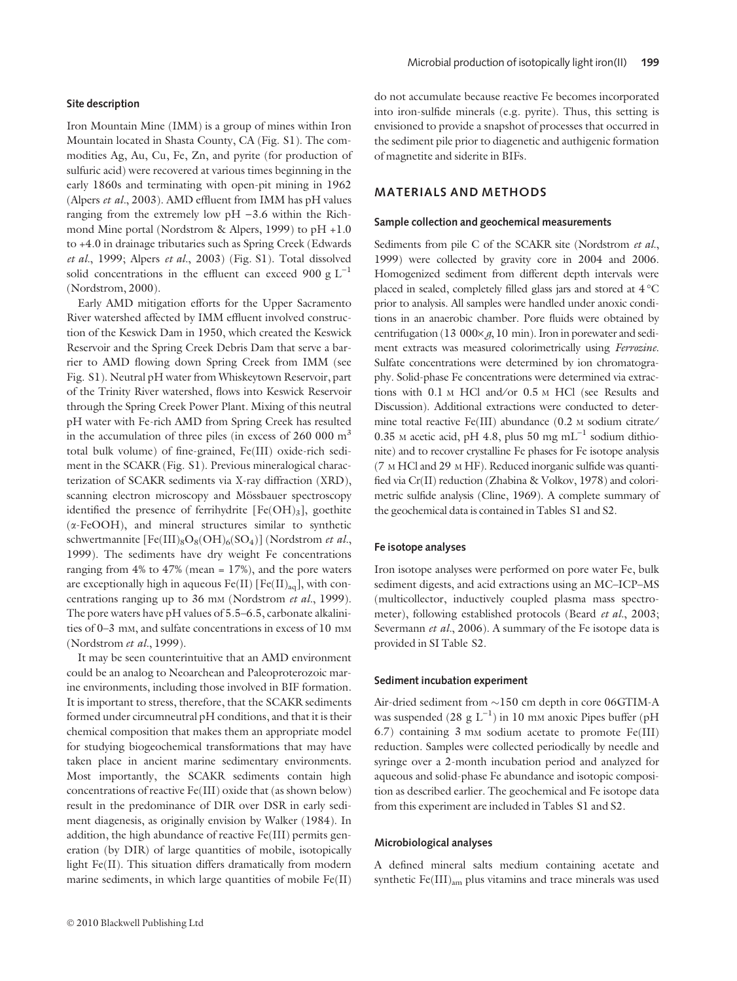#### Site description

Iron Mountain Mine (IMM) is a group of mines within Iron Mountain located in Shasta County, CA (Fig. S1). The commodities Ag, Au, Cu, Fe, Zn, and pyrite (for production of sulfuric acid) were recovered at various times beginning in the early 1860s and terminating with open-pit mining in 1962 (Alpers et al., 2003). AMD effluent from IMM has pH values ranging from the extremely low  $pH -3.6$  within the Richmond Mine portal (Nordstrom & Alpers, 1999) to pH +1.0 to +4.0 in drainage tributaries such as Spring Creek (Edwards et al., 1999; Alpers et al., 2003) (Fig. S1). Total dissolved solid concentrations in the effluent can exceed 900 g  $L^{-1}$ (Nordstrom, 2000).

Early AMD mitigation efforts for the Upper Sacramento River watershed affected by IMM effluent involved construction of the Keswick Dam in 1950, which created the Keswick Reservoir and the Spring Creek Debris Dam that serve a barrier to AMD flowing down Spring Creek from IMM (see Fig. S1). Neutral pH water from Whiskeytown Reservoir, part of the Trinity River watershed, flows into Keswick Reservoir through the Spring Creek Power Plant. Mixing of this neutral pH water with Fe-rich AMD from Spring Creek has resulted in the accumulation of three piles (in excess of  $260000 \text{ m}^3$ total bulk volume) of fine-grained, Fe(III) oxide-rich sediment in the SCAKR (Fig. S1). Previous mineralogical characterization of SCAKR sediments via X-ray diffraction (XRD), scanning electron microscopy and Mössbauer spectroscopy identified the presence of ferrihydrite  $[Fe(OH)_3]$ , goethite (a-FeOOH), and mineral structures similar to synthetic schwertmannite  $[Fe(III)_8O_8(OH)_6(SO_4)]$  (Nordstrom et al., 1999). The sediments have dry weight Fe concentrations ranging from 4% to 47% (mean = 17%), and the pore waters are exceptionally high in aqueous  $Fe(II)$  [Fe(II)<sub>aq</sub>], with concentrations ranging up to 36 mm (Nordstrom et al., 1999). The pore waters have pH values of 5.5–6.5, carbonate alkalinities of 0–3 mM, and sulfate concentrations in excess of 10 mM (Nordstrom et al., 1999).

It may be seen counterintuitive that an AMD environment could be an analog to Neoarchean and Paleoproterozoic marine environments, including those involved in BIF formation. It is important to stress, therefore, that the SCAKR sediments formed under circumneutral pH conditions, and that it is their chemical composition that makes them an appropriate model for studying biogeochemical transformations that may have taken place in ancient marine sedimentary environments. Most importantly, the SCAKR sediments contain high concentrations of reactive Fe(III) oxide that (as shown below) result in the predominance of DIR over DSR in early sediment diagenesis, as originally envision by Walker (1984). In addition, the high abundance of reactive Fe(III) permits generation (by DIR) of large quantities of mobile, isotopically light Fe(II). This situation differs dramatically from modern marine sediments, in which large quantities of mobile Fe(II) do not accumulate because reactive Fe becomes incorporated into iron-sulfide minerals (e.g. pyrite). Thus, this setting is envisioned to provide a snapshot of processes that occurred in the sediment pile prior to diagenetic and authigenic formation of magnetite and siderite in BIFs.

## MATERIALS AND METHODS

#### Sample collection and geochemical measurements

Sediments from pile C of the SCAKR site (Nordstrom et al., 1999) were collected by gravity core in 2004 and 2006. Homogenized sediment from different depth intervals were placed in sealed, completely filled glass jars and stored at  $4^{\circ}$ C prior to analysis. All samples were handled under anoxic conditions in an anaerobic chamber. Pore fluids were obtained by centrifugation (13 000 $\times$  g, 10 min). Iron in porewater and sediment extracts was measured colorimetrically using Ferrozine. Sulfate concentrations were determined by ion chromatography. Solid-phase Fe concentrations were determined via extractions with 0.1 <sup>M</sup> HCl and⁄ or 0.5 <sup>M</sup> HCl (see Results and Discussion). Additional extractions were conducted to determine total reactive Fe(III) abundance (0.2 M sodium citrate/ 0.35 M acetic acid, pH 4.8, plus 50 mg mL<sup> $-1$ </sup> sodium dithionite) and to recover crystalline Fe phases for Fe isotope analysis (7 <sup>M</sup> HCl and 29 <sup>M</sup> HF). Reduced inorganic sulfide was quantified via Cr(II) reduction (Zhabina & Volkov, 1978) and colorimetric sulfide analysis (Cline, 1969). A complete summary of the geochemical data is contained in Tables S1 and S2.

#### Fe isotope analyses

Iron isotope analyses were performed on pore water Fe, bulk sediment digests, and acid extractions using an MC–ICP–MS (multicollector, inductively coupled plasma mass spectrometer), following established protocols (Beard et al., 2003; Severmann et al., 2006). A summary of the Fe isotope data is provided in SI Table S2.

#### Sediment incubation experiment

Air-dried sediment from  $\sim$ 150 cm depth in core 06GTIM-A was suspended (28  $g L^{-1}$ ) in 10 mm anoxic Pipes buffer (pH 6.7) containing  $3 \text{ mm}$  sodium acetate to promote  $Fe(III)$ reduction. Samples were collected periodically by needle and syringe over a 2-month incubation period and analyzed for aqueous and solid-phase Fe abundance and isotopic composition as described earlier. The geochemical and Fe isotope data from this experiment are included in Tables S1 and S2.

#### Microbiological analyses

A defined mineral salts medium containing acetate and synthetic Fe(III)<sub>am</sub> plus vitamins and trace minerals was used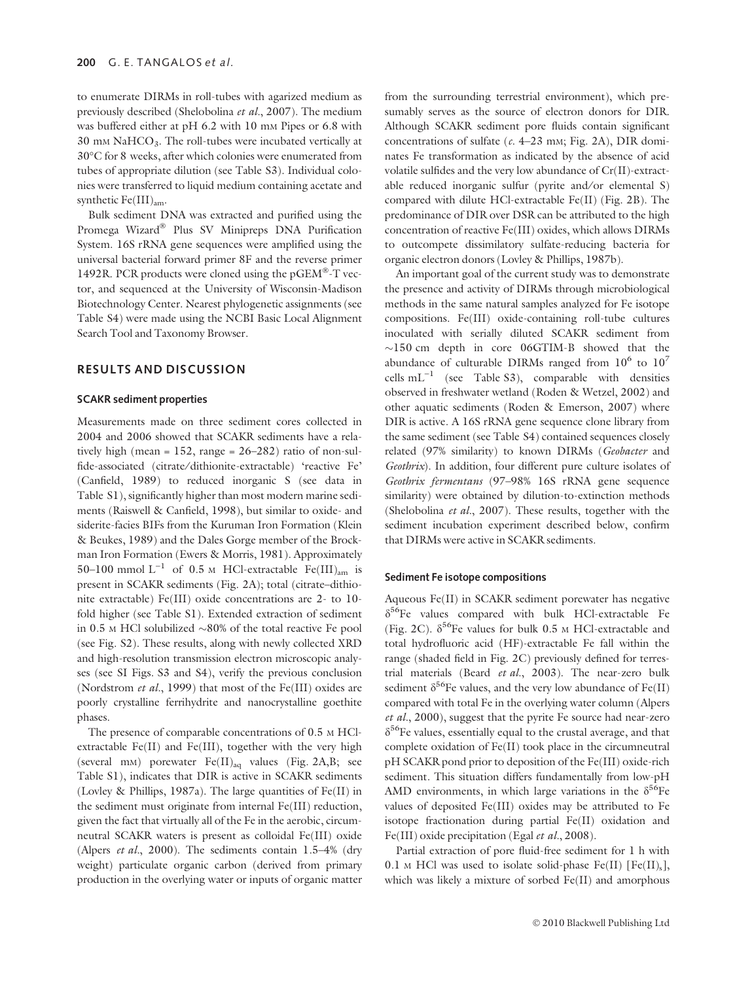to enumerate DIRMs in roll-tubes with agarized medium as previously described (Shelobolina et al., 2007). The medium was buffered either at pH 6.2 with 10 mm Pipes or 6.8 with  $30 \text{ mm } \text{NaHCO}_3$ . The roll-tubes were incubated vertically at 30°C for 8 weeks, after which colonies were enumerated from tubes of appropriate dilution (see Table S3). Individual colonies were transferred to liquid medium containing acetate and synthetic  $Fe(III)_{am}$ .

Bulk sediment DNA was extracted and purified using the Promega Wizard® Plus SV Minipreps DNA Purification System. 16S rRNA gene sequences were amplified using the universal bacterial forward primer 8F and the reverse primer 1492R. PCR products were cloned using the  $pGEM^{\otimes -}$ T vector, and sequenced at the University of Wisconsin-Madison Biotechnology Center. Nearest phylogenetic assignments (see Table S4) were made using the NCBI Basic Local Alignment Search Tool and Taxonomy Browser.

#### RESULTS AND DISCUSSION

#### SCAKR sediment properties

Measurements made on three sediment cores collected in 2004 and 2006 showed that SCAKR sediments have a relatively high (mean =  $152$ , range =  $26-282$ ) ratio of non-sulfide-associated (citrate/dithionite-extractable) 'reactive Fe' (Canfield, 1989) to reduced inorganic S (see data in Table S1), significantly higher than most modern marine sediments (Raiswell & Canfield, 1998), but similar to oxide- and siderite-facies BIFs from the Kuruman Iron Formation (Klein & Beukes, 1989) and the Dales Gorge member of the Brockman Iron Formation (Ewers & Morris, 1981). Approximately 50–100 mmol  $L^{-1}$  of 0.5 M HCl-extractable Fe(III)<sub>am</sub> is present in SCAKR sediments (Fig. 2A); total (citrate–dithionite extractable) Fe(III) oxide concentrations are 2- to 10 fold higher (see Table S1). Extended extraction of sediment in 0.5 M HCl solubilized  $\sim$ 80% of the total reactive Fe pool (see Fig. S2). These results, along with newly collected XRD and high-resolution transmission electron microscopic analyses (see SI Figs. S3 and S4), verify the previous conclusion (Nordstrom et al., 1999) that most of the Fe(III) oxides are poorly crystalline ferrihydrite and nanocrystalline goethite phases.

The presence of comparable concentrations of 0.5 <sup>M</sup> HClextractable  $Fe(II)$  and  $Fe(III)$ , together with the very high (several mM) porewater Fe(II)aq values (Fig. 2A,B; see Table S1), indicates that DIR is active in SCAKR sediments (Lovley & Phillips, 1987a). The large quantities of Fe(II) in the sediment must originate from internal Fe(III) reduction, given the fact that virtually all of the Fe in the aerobic, circumneutral SCAKR waters is present as colloidal Fe(III) oxide (Alpers *et al.*, 2000). The sediments contain  $1.5-4%$  (dry weight) particulate organic carbon (derived from primary production in the overlying water or inputs of organic matter from the surrounding terrestrial environment), which presumably serves as the source of electron donors for DIR. Although SCAKR sediment pore fluids contain significant concentrations of sulfate  $(c. 4-23$  mm; Fig. 2A), DIR dominates Fe transformation as indicated by the absence of acid volatile sulfides and the very low abundance of Cr(II)-extractable reduced inorganic sulfur (pyrite and/or elemental S) compared with dilute HCl-extractable Fe(II) (Fig. 2B). The predominance of DIR over DSR can be attributed to the high concentration of reactive Fe(III) oxides, which allows DIRMs to outcompete dissimilatory sulfate-reducing bacteria for organic electron donors (Lovley & Phillips, 1987b).

An important goal of the current study was to demonstrate the presence and activity of DIRMs through microbiological methods in the same natural samples analyzed for Fe isotope compositions. Fe(III) oxide-containing roll-tube cultures inoculated with serially diluted SCAKR sediment from  $\sim$ 150 cm depth in core 06GTIM-B showed that the abundance of culturable DIRMs ranged from  $10^6$  to  $10^7$ cells  $mL^{-1}$  (see Table S3), comparable with densities observed in freshwater wetland (Roden & Wetzel, 2002) and other aquatic sediments (Roden & Emerson, 2007) where DIR is active. A 16S rRNA gene sequence clone library from the same sediment (see Table S4) contained sequences closely related (97% similarity) to known DIRMs (Geobacter and Geothrix). In addition, four different pure culture isolates of Geothrix fermentans (97–98% 16S rRNA gene sequence similarity) were obtained by dilution-to-extinction methods (Shelobolina et al., 2007). These results, together with the sediment incubation experiment described below, confirm that DIRMs were active in SCAKR sediments.

#### Sediment Fe isotope compositions

Aqueous Fe(II) in SCAKR sediment porewater has negative  $\delta^{56}$ Fe values compared with bulk HCl-extractable Fe (Fig. 2C).  $\delta^{56}$ Fe values for bulk 0.5 M HCl-extractable and total hydrofluoric acid (HF)-extractable Fe fall within the range (shaded field in Fig. 2C) previously defined for terrestrial materials (Beard et al., 2003). The near-zero bulk sediment  $\delta^{56}$ Fe values, and the very low abundance of Fe(II) compared with total Fe in the overlying water column (Alpers et al., 2000), suggest that the pyrite Fe source had near-zero  $\delta^{56}$ Fe values, essentially equal to the crustal average, and that complete oxidation of Fe(II) took place in the circumneutral pH SCAKR pond prior to deposition of the Fe(III) oxide-rich sediment. This situation differs fundamentally from low-pH AMD environments, in which large variations in the  $\delta^{56}$ Fe values of deposited Fe(III) oxides may be attributed to Fe isotope fractionation during partial Fe(II) oxidation and Fe(III) oxide precipitation (Egal et al., 2008).

Partial extraction of pore fluid-free sediment for 1 h with 0.1 M HCl was used to isolate solid-phase  $Fe(II)$  [Fe(II)<sub>s</sub>], which was likely a mixture of sorbed Fe(II) and amorphous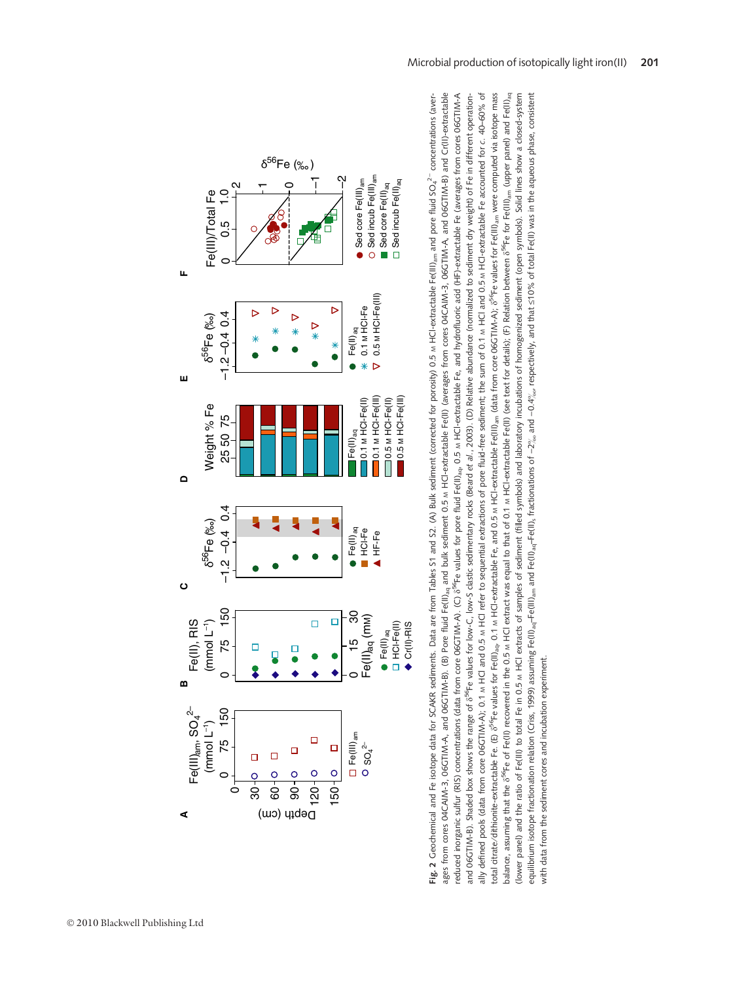

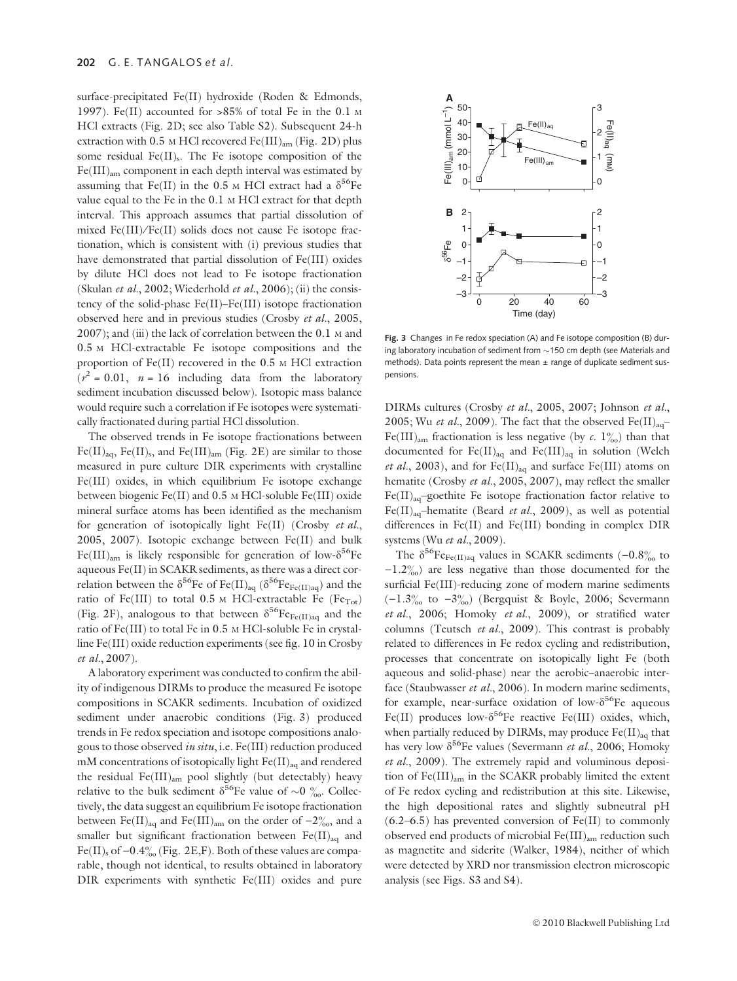surface-precipitated Fe(II) hydroxide (Roden & Edmonds, 1997). Fe(II) accounted for >85% of total Fe in the 0.1 <sup>M</sup> HCl extracts (Fig. 2D; see also Table S2). Subsequent 24-h extraction with 0.5 M HCl recovered Fe(III)<sub>am</sub> (Fig. 2D) plus some residual  $Fe(II)_{s}$ . The Fe isotope composition of the  $Fe(III)_{am}$  component in each depth interval was estimated by assuming that Fe(II) in the 0.5 M HCl extract had a  $\delta^{56}$ Fe value equal to the Fe in the 0.1 <sup>M</sup> HCl extract for that depth interval. This approach assumes that partial dissolution of mixed Fe(III)⁄ Fe(II) solids does not cause Fe isotope fractionation, which is consistent with (i) previous studies that have demonstrated that partial dissolution of Fe(III) oxides by dilute HCl does not lead to Fe isotope fractionation (Skulan et al., 2002; Wiederhold et al., 2006); (ii) the consistency of the solid-phase Fe(II)–Fe(III) isotope fractionation observed here and in previous studies (Crosby et al., 2005, 2007); and (iii) the lack of correlation between the 0.1 <sup>M</sup> and 0.5 <sup>M</sup> HCl-extractable Fe isotope compositions and the proportion of Fe(II) recovered in the 0.5 <sup>M</sup> HCl extraction  $(r^2 = 0.01, n = 16$  including data from the laboratory sediment incubation discussed below). Isotopic mass balance would require such a correlation if Fe isotopes were systematically fractionated during partial HCl dissolution.

The observed trends in Fe isotope fractionations between  $Fe(II)_{aq}$ ,  $Fe(II)_{s}$ , and  $Fe(III)_{am}$  (Fig. 2E) are similar to those measured in pure culture DIR experiments with crystalline Fe(III) oxides, in which equilibrium Fe isotope exchange between biogenic Fe(II) and 0.5 <sup>M</sup> HCl-soluble Fe(III) oxide mineral surface atoms has been identified as the mechanism for generation of isotopically light Fe(II) (Crosby et al., 2005, 2007). Isotopic exchange between Fe(II) and bulk Fe(III)<sub>am</sub> is likely responsible for generation of low- $\delta^{56}$ Fe aqueous Fe(II) in SCAKR sediments, as there was a direct correlation between the  $\delta^{56}$ Fe of Fe(II)<sub>aq</sub> ( $\delta^{56}$ Fe<sub>Fe(II)aq</sub>) and the ratio of Fe(III) to total  $0.5$  M HCl-extractable Fe (Fe<sub>Tot</sub>) (Fig. 2F), analogous to that between  $\delta^{56}Fe_{Fe(II)_{aa}}$  and the ratio of Fe(III) to total Fe in 0.5 <sup>M</sup> HCl-soluble Fe in crystalline Fe(III) oxide reduction experiments (see fig. 10 in Crosby et al., 2007).

A laboratory experiment was conducted to confirm the ability of indigenous DIRMs to produce the measured Fe isotope compositions in SCAKR sediments. Incubation of oxidized sediment under anaerobic conditions (Fig. 3) produced trends in Fe redox speciation and isotope compositions analogous to those observed in situ, i.e. Fe(III) reduction produced mM concentrations of isotopically light  $Fe(II)_{aa}$  and rendered the residual Fe(III)am pool slightly (but detectably) heavy relative to the bulk sediment  $\delta^{56}$ Fe value of ~0  $\frac{\%}{\%}$ . Collectively, the data suggest an equilibrium Fe isotope fractionation between Fe(II)<sub>aq</sub> and Fe(III)<sub>am</sub> on the order of  $-2\%$ , and a smaller but significant fractionation between  $Fe(II)_{aa}$  and Fe(II)<sub>s</sub> of  $-0.4\%$  (Fig. 2E,F). Both of these values are comparable, though not identical, to results obtained in laboratory DIR experiments with synthetic Fe(III) oxides and pure



Fig. 3 Changes in Fe redox speciation (A) and Fe isotope composition (B) during laboratory incubation of sediment from  $\sim$  150 cm depth (see Materials and methods). Data points represent the mean  $\pm$  range of duplicate sediment suspensions.

DIRMs cultures (Crosby et al., 2005, 2007; Johnson et al., 2005; Wu et al., 2009). The fact that the observed  $Fe(II)_{aq}$ -Fe(III)<sub>am</sub> fractionation is less negative (by c. 1%) than that documented for  $Fe(II)_{aq}$  and  $Fe(III)_{aq}$  in solution (Welch et al., 2003), and for  $Fe(II)_{aq}$  and surface  $Fe(III)$  atoms on hematite (Crosby et al., 2005, 2007), may reflect the smaller  $Fe(II)_{aa}$ -goethite Fe isotope fractionation factor relative to Fe(II)<sub>aq</sub>-hematite (Beard *et al.*, 2009), as well as potential differences in Fe(II) and Fe(III) bonding in complex DIR systems (Wu et al., 2009).

The  $\delta^{56}$ Fe<sub>Fe(II)aq</sub> values in SCAKR sediments (-0.8<sup>o</sup>% to  $-1.2\%$ ) are less negative than those documented for the surficial Fe(III)-reducing zone of modern marine sediments  $(-1.3\%$  to  $-3\%$ ) (Bergquist & Boyle, 2006; Severmann et al., 2006; Homoky et al., 2009), or stratified water columns (Teutsch et al., 2009). This contrast is probably related to differences in Fe redox cycling and redistribution, processes that concentrate on isotopically light Fe (both aqueous and solid-phase) near the aerobic–anaerobic interface (Staubwasser et al., 2006). In modern marine sediments, for example, near-surface oxidation of low- $\delta^{56}$ Fe aqueous Fe(II) produces low- $\delta^{56}$ Fe reactive Fe(III) oxides, which, when partially reduced by DIRMs, may produce  $Fe(II)_{aq}$  that has very low  $\delta^{56}$ Fe values (Severmann *et al.*, 2006; Homoky et al., 2009). The extremely rapid and voluminous deposition of Fe(III)am in the SCAKR probably limited the extent of Fe redox cycling and redistribution at this site. Likewise, the high depositional rates and slightly subneutral pH  $(6.2–6.5)$  has prevented conversion of Fe(II) to commonly observed end products of microbial  $Fe(III)_{am}$  reduction such as magnetite and siderite (Walker, 1984), neither of which were detected by XRD nor transmission electron microscopic analysis (see Figs. S3 and S4).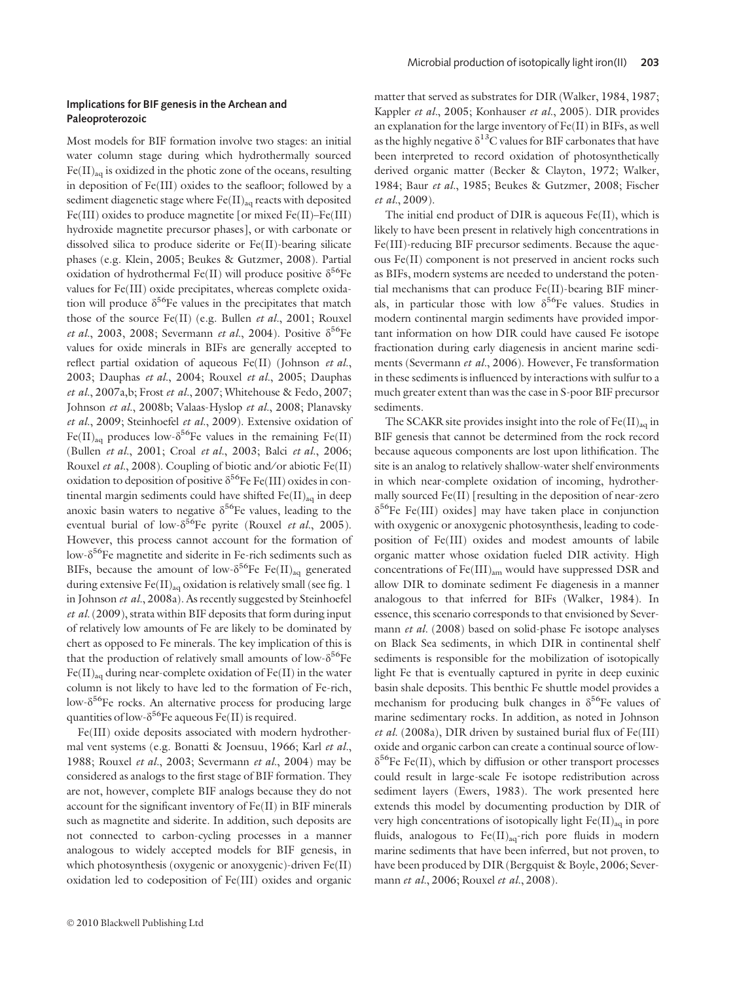#### Implications for BIF genesis in the Archean and Paleoproterozoic

Most models for BIF formation involve two stages: an initial water column stage during which hydrothermally sourced  $Fe(II)_{aq}$  is oxidized in the photic zone of the oceans, resulting in deposition of Fe(III) oxides to the seafloor; followed by a sediment diagenetic stage where  $Fe(II)_{aq}$  reacts with deposited Fe(III) oxides to produce magnetite [or mixed Fe(II)–Fe(III) hydroxide magnetite precursor phases], or with carbonate or dissolved silica to produce siderite or Fe(II)-bearing silicate phases (e.g. Klein, 2005; Beukes & Gutzmer, 2008). Partial oxidation of hydrothermal Fe(II) will produce positive  $\delta^{56}$ Fe values for Fe(III) oxide precipitates, whereas complete oxidation will produce  $\delta^{56}$ Fe values in the precipitates that match those of the source Fe(II) (e.g. Bullen et al., 2001; Rouxel et al., 2003, 2008; Severmann et al., 2004). Positive  $\delta^{56}$ Fe values for oxide minerals in BIFs are generally accepted to reflect partial oxidation of aqueous Fe(II) (Johnson et al., 2003; Dauphas et al., 2004; Rouxel et al., 2005; Dauphas et al., 2007a,b; Frost et al., 2007; Whitehouse & Fedo, 2007; Johnson et al., 2008b; Valaas-Hyslop et al., 2008; Planavsky et al., 2009; Steinhoefel et al., 2009). Extensive oxidation of  $Fe(II)_{aa}$  produces low- $\delta^{56}$ Fe values in the remaining Fe(II) (Bullen et al., 2001; Croal et al., 2003; Balci et al., 2006; Rouxel et al., 2008). Coupling of biotic and/or abiotic Fe(II) oxidation to deposition of positive  $\delta^{56}$ Fe Fe(III) oxides in continental margin sediments could have shifted  $Fe(II)_{aa}$  in deep anoxic basin waters to negative  $\delta^{56}$ Fe values, leading to the eventual burial of low- $\delta^{56}$ Fe pyrite (Rouxel et al., 2005). However, this process cannot account for the formation of low- $\delta^{56}$ Fe magnetite and siderite in Fe-rich sediments such as BIFs, because the amount of low- $\delta^{56}$ Fe Fe(II)<sub>aq</sub> generated during extensive  $Fe(II)_{aq}$  oxidation is relatively small (see fig. 1 in Johnson et al., 2008a). As recently suggested by Steinhoefel  $et \ al.$  (2009), strata within BIF deposits that form during input of relatively low amounts of Fe are likely to be dominated by chert as opposed to Fe minerals. The key implication of this is that the production of relatively small amounts of low- $\delta^{56}$ Fe  $Fe(II)_{aq}$  during near-complete oxidation of  $Fe(II)$  in the water column is not likely to have led to the formation of Fe-rich, low- $\delta^{56}$ Fe rocks. An alternative process for producing large quantities of low- $\delta^{56}$ Fe aqueous Fe(II) is required.

Fe(III) oxide deposits associated with modern hydrothermal vent systems (e.g. Bonatti & Joensuu, 1966; Karl et al., 1988; Rouxel et al., 2003; Severmann et al., 2004) may be considered as analogs to the first stage of BIF formation. They are not, however, complete BIF analogs because they do not account for the significant inventory of Fe(II) in BIF minerals such as magnetite and siderite. In addition, such deposits are not connected to carbon-cycling processes in a manner analogous to widely accepted models for BIF genesis, in which photosynthesis (oxygenic or anoxygenic)-driven Fe(II) oxidation led to codeposition of Fe(III) oxides and organic

matter that served as substrates for DIR (Walker, 1984, 1987; Kappler et al., 2005; Konhauser et al., 2005). DIR provides an explanation for the large inventory of Fe(II) in BIFs, as well as the highly negative  $\delta^{13}$ C values for BIF carbonates that have been interpreted to record oxidation of photosynthetically derived organic matter (Becker & Clayton, 1972; Walker, 1984; Baur et al., 1985; Beukes & Gutzmer, 2008; Fischer et al., 2009).

The initial end product of DIR is aqueous Fe(II), which is likely to have been present in relatively high concentrations in Fe(III)-reducing BIF precursor sediments. Because the aqueous Fe(II) component is not preserved in ancient rocks such as BIFs, modern systems are needed to understand the potential mechanisms that can produce Fe(II)-bearing BIF minerals, in particular those with low  $\delta^{56}$ Fe values. Studies in modern continental margin sediments have provided important information on how DIR could have caused Fe isotope fractionation during early diagenesis in ancient marine sediments (Severmann et al., 2006). However, Fe transformation in these sediments is influenced by interactions with sulfur to a much greater extent than was the case in S-poor BIF precursor sediments.

The SCAKR site provides insight into the role of  $Fe(II)_{aa}$  in BIF genesis that cannot be determined from the rock record because aqueous components are lost upon lithification. The site is an analog to relatively shallow-water shelf environments in which near-complete oxidation of incoming, hydrothermally sourced Fe(II) [resulting in the deposition of near-zero  $\delta^{56}$ Fe Fe(III) oxides] may have taken place in conjunction with oxygenic or anoxygenic photosynthesis, leading to codeposition of Fe(III) oxides and modest amounts of labile organic matter whose oxidation fueled DIR activity. High concentrations of Fe(III)<sub>am</sub> would have suppressed DSR and allow DIR to dominate sediment Fe diagenesis in a manner analogous to that inferred for BIFs (Walker, 1984). In essence, this scenario corresponds to that envisioned by Severmann et al. (2008) based on solid-phase Fe isotope analyses on Black Sea sediments, in which DIR in continental shelf sediments is responsible for the mobilization of isotopically light Fe that is eventually captured in pyrite in deep euxinic basin shale deposits. This benthic Fe shuttle model provides a mechanism for producing bulk changes in  $\delta^{56}$ Fe values of marine sedimentary rocks. In addition, as noted in Johnson et al. (2008a), DIR driven by sustained burial flux of  $Fe(III)$ oxide and organic carbon can create a continual source of low- $\delta^{56}$ Fe Fe(II), which by diffusion or other transport processes could result in large-scale Fe isotope redistribution across sediment layers (Ewers, 1983). The work presented here extends this model by documenting production by DIR of very high concentrations of isotopically light  $Fe(II)_{aq}$  in pore fluids, analogous to  $Fe(II)_{aa}$ -rich pore fluids in modern marine sediments that have been inferred, but not proven, to have been produced by DIR (Bergquist & Boyle, 2006; Severmann et al., 2006; Rouxel et al., 2008).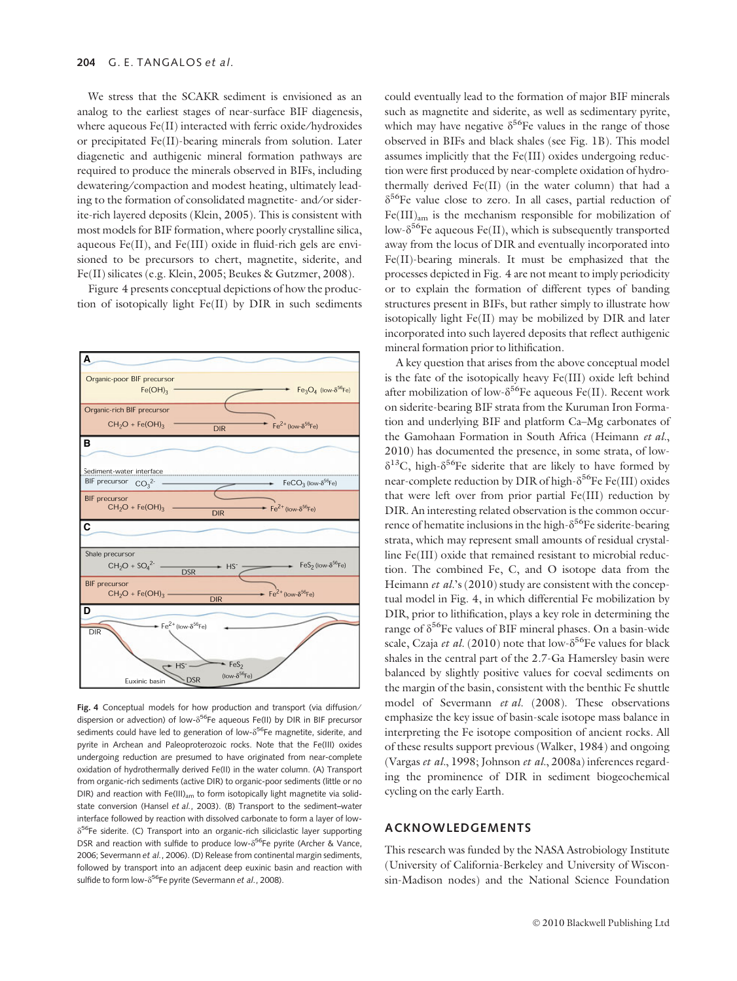We stress that the SCAKR sediment is envisioned as an analog to the earliest stages of near-surface BIF diagenesis, where aqueous Fe(II) interacted with ferric oxide/hydroxides or precipitated Fe(II)-bearing minerals from solution. Later diagenetic and authigenic mineral formation pathways are required to produce the minerals observed in BIFs, including dewatering/compaction and modest heating, ultimately leading to the formation of consolidated magnetite- and/or siderite-rich layered deposits (Klein, 2005). This is consistent with most models for BIF formation, where poorly crystalline silica, aqueous Fe(II), and Fe(III) oxide in fluid-rich gels are envisioned to be precursors to chert, magnetite, siderite, and Fe(II) silicates (e.g. Klein, 2005; Beukes & Gutzmer, 2008).

Figure 4 presents conceptual depictions of how the production of isotopically light Fe(II) by DIR in such sediments



Fig. 4 Conceptual models for how production and transport (via diffusion/ dispersion or advection) of low- $\delta^{56}$ Fe aqueous Fe(II) by DIR in BIF precursor sediments could have led to generation of low- $\delta^{56}$ Fe magnetite, siderite, and pyrite in Archean and Paleoproterozoic rocks. Note that the Fe(III) oxides undergoing reduction are presumed to have originated from near-complete oxidation of hydrothermally derived Fe(II) in the water column. (A) Transport from organic-rich sediments (active DIR) to organic-poor sediments (little or no DIR) and reaction with  $Fe(III)_{am}$  to form isotopically light magnetite via solidstate conversion (Hansel et al., 2003). (B) Transport to the sediment–water interface followed by reaction with dissolved carbonate to form a layer of low- $\delta^{56}$ Fe siderite. (C) Transport into an organic-rich siliciclastic layer supporting DSR and reaction with sulfide to produce low- $\delta^{56}$ Fe pyrite (Archer & Vance, 2006; Severmann et al., 2006). (D) Release from continental margin sediments, followed by transport into an adjacent deep euxinic basin and reaction with sulfide to form low- $\delta^{56}$ Fe pyrite (Severmann et al., 2008).

could eventually lead to the formation of major BIF minerals such as magnetite and siderite, as well as sedimentary pyrite, which may have negative  $\delta^{56}$ Fe values in the range of those observed in BIFs and black shales (see Fig. 1B). This model assumes implicitly that the Fe(III) oxides undergoing reduction were first produced by near-complete oxidation of hydrothermally derived Fe(II) (in the water column) that had a  $\delta^{56}$ Fe value close to zero. In all cases, partial reduction of  $Fe(III)_{am}$  is the mechanism responsible for mobilization of low- $\delta^{56}$ Fe aqueous Fe(II), which is subsequently transported away from the locus of DIR and eventually incorporated into Fe(II)-bearing minerals. It must be emphasized that the processes depicted in Fig. 4 are not meant to imply periodicity or to explain the formation of different types of banding structures present in BIFs, but rather simply to illustrate how isotopically light Fe(II) may be mobilized by DIR and later incorporated into such layered deposits that reflect authigenic mineral formation prior to lithification.

A key question that arises from the above conceptual model is the fate of the isotopically heavy Fe(III) oxide left behind after mobilization of low- $\delta^{56}$ Fe aqueous Fe(II). Recent work on siderite-bearing BIF strata from the Kuruman Iron Formation and underlying BIF and platform Ca–Mg carbonates of the Gamohaan Formation in South Africa (Heimann et al., 2010) has documented the presence, in some strata, of low- $\delta^{13}$ C, high- $\delta^{56}$ Fe siderite that are likely to have formed by near-complete reduction by DIR of high- $\delta^{56}$ Fe Fe(III) oxides that were left over from prior partial Fe(III) reduction by DIR. An interesting related observation is the common occurrence of hematite inclusions in the high- $\delta^{56}$ Fe siderite-bearing strata, which may represent small amounts of residual crystalline Fe(III) oxide that remained resistant to microbial reduction. The combined Fe, C, and O isotope data from the Heimann et al.'s (2010) study are consistent with the conceptual model in Fig. 4, in which differential Fe mobilization by DIR, prior to lithification, plays a key role in determining the range of  $\delta^{56}$ Fe values of BIF mineral phases. On a basin-wide scale, Czaja et al. (2010) note that low- $\delta^{56}$ Fe values for black shales in the central part of the 2.7-Ga Hamersley basin were balanced by slightly positive values for coeval sediments on the margin of the basin, consistent with the benthic Fe shuttle model of Severmann et al. (2008). These observations emphasize the key issue of basin-scale isotope mass balance in interpreting the Fe isotope composition of ancient rocks. All of these results support previous (Walker, 1984) and ongoing (Vargas et al., 1998; Johnson et al., 2008a) inferences regarding the prominence of DIR in sediment biogeochemical cycling on the early Earth.

#### ACKNOWLEDGEMENTS

This research was funded by the NASA Astrobiology Institute (University of California-Berkeley and University of Wisconsin-Madison nodes) and the National Science Foundation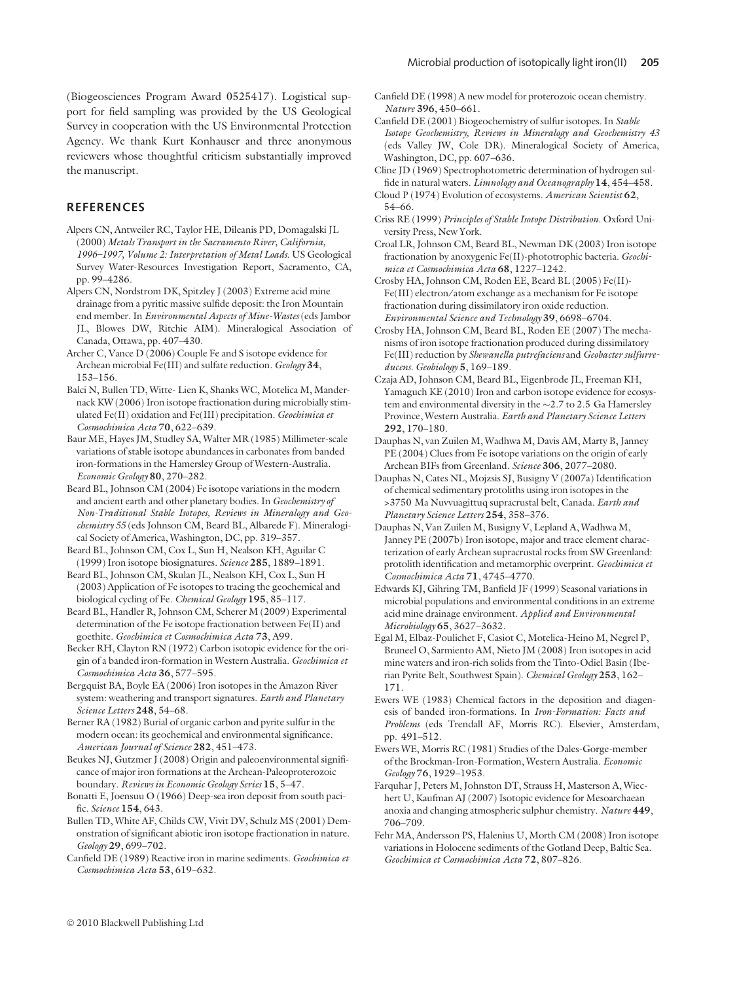(Biogeosciences Program Award 0525417). Logistical support for field sampling was provided by the US Geological Survey in cooperation with the US Environmental Protection Agency. We thank Kurt Konhauser and three anonymous reviewers whose thoughtful criticism substantially improved the manuscript.

### **REFERENCES**

Alpers CN, Antweiler RC, Taylor HE, Dileanis PD, Domagalski JL (2000) Metals Transport in the Sacramento River, California, 1996–1997, Volume 2: Interpretation of Metal Loads. US Geological Survey Water-Resources Investigation Report, Sacramento, CA, pp. 99–4286.

Alpers CN, Nordstrom DK, Spitzley J (2003) Extreme acid mine drainage from a pyritic massive sulfide deposit: the Iron Mountain end member. In Environmental Aspects of Mine-Wastes (eds Jambor JL, Blowes DW, Ritchie AIM). Mineralogical Association of Canada, Ottawa, pp. 407–430.

Archer C, Vance D (2006) Couple Fe and S isotope evidence for Archean microbial Fe(III) and sulfate reduction. Geology 34, 153–156.

Balci N, Bullen TD, Witte- Lien K, Shanks WC, Motelica M, Mandernack KW (2006) Iron isotope fractionation during microbially stimulated Fe(II) oxidation and Fe(III) precipitation. Geochimica et Cosmochimica Acta 70, 622–639.

Baur ME, Hayes JM, Studley SA, Walter MR (1985) Millimeter-scale variations of stable isotope abundances in carbonates from banded iron-formations in the Hamersley Group of Western-Australia. Economic Geology 80, 270–282.

Beard BL, Johnson CM (2004) Fe isotope variations in the modern and ancient earth and other planetary bodies. In Geochemistry of Non-Traditional Stable Isotopes, Reviews in Mineralogy and Geochemistry 55 (eds Johnson CM, Beard BL, Albarede F). Mineralogical Society of America, Washington, DC, pp. 319–357.

Beard BL, Johnson CM, Cox L, Sun H, Nealson KH, Aguilar C (1999) Iron isotope biosignatures. Science 285, 1889–1891.

Beard BL, Johnson CM, Skulan JL, Nealson KH, Cox L, Sun H (2003) Application of Fe isotopes to tracing the geochemical and biological cycling of Fe. Chemical Geology 195, 85-117.

Beard BL, Handler R, Johnson CM, Scherer M (2009) Experimental determination of the Fe isotope fractionation between Fe(II) and goethite. Geochimica et Cosmochimica Acta 73, A99.

Becker RH, Clayton RN (1972) Carbon isotopic evidence for the origin of a banded iron-formation in Western Australia. Geochimica et Cosmochimica Acta 36, 577–595.

Bergquist BA, Boyle EA (2006) Iron isotopes in the Amazon River system: weathering and transport signatures. Earth and Planetary Science Letters 248, 54–68.

Berner RA (1982) Burial of organic carbon and pyrite sulfur in the modern ocean: its geochemical and environmental significance. American Journal of Science 282, 451–473.

Beukes NJ, Gutzmer J (2008) Origin and paleoenvironmental significance of major iron formations at the Archean-Paleoproterozoic boundary. Reviews in Economic Geology Series 15, 5–47.

Bonatti E, Joensuu O (1966) Deep-sea iron deposit from south pacific. Science 154, 643.

Bullen TD, White AF, Childs CW, Vivit DV, Schulz MS (2001) Demonstration of significant abiotic iron isotope fractionation in nature. Geology 29, 699–702.

Canfield DE (1989) Reactive iron in marine sediments. Geochimica et Cosmochimica Acta 53, 619–632.

Canfield DE (1998) A new model for proterozoic ocean chemistry. Nature 396, 450–661.

Canfield DE (2001) Biogeochemistry of sulfur isotopes. In Stable Isotope Geochemistry, Reviews in Mineralogy and Geochemistry 43 (eds Valley JW, Cole DR). Mineralogical Society of America, Washington, DC, pp. 607–636.

Cline JD (1969) Spectrophotometric determination of hydrogen sulfide in natural waters. Limnology and Oceanography 14, 454–458.

Cloud P (1974) Evolution of ecosystems. American Scientist 62, 54–66.

Criss RE (1999) Principles of Stable Isotope Distribution. Oxford University Press, New York.

Croal LR, Johnson CM, Beard BL, Newman DK (2003) Iron isotope fractionation by anoxygenic Fe(II)-phototrophic bacteria. Geochimica et Cosmochimica Acta 68, 1227–1242.

Crosby HA, Johnson CM, Roden EE, Beard BL (2005) Fe(II)- Fe(III) electron/atom exchange as a mechanism for Fe isotope fractionation during dissimilatory iron oxide reduction. Environmental Science and Technology 39, 6698–6704.

Crosby HA, Johnson CM, Beard BL, Roden EE (2007) The mechanisms of iron isotope fractionation produced during dissimilatory Fe(III) reduction by Shewanella putrefaciens and Geobacter sulfurreducens. Geobiology 5, 169–189.

Czaja AD, Johnson CM, Beard BL, Eigenbrode JL, Freeman KH, Yamaguch KE (2010) Iron and carbon isotope evidence for ecosystem and environmental diversity in the  $\sim$ 2.7 to 2.5 Ga Hamersley Province, Western Australia. Earth and Planetary Science Letters 292, 170–180.

Dauphas N, van Zuilen M, Wadhwa M, Davis AM, Marty B, Janney PE (2004) Clues from Fe isotope variations on the origin of early Archean BIFs from Greenland. Science 306, 2077–2080.

Dauphas N, Cates NL, Mojzsis SJ, Busigny V (2007a) Identification of chemical sedimentary protoliths using iron isotopes in the >3750 Ma Nuvvuagittuq supracrustal belt, Canada. Earth and Planetary Science Letters 254, 358–376.

Dauphas N, Van Zuilen M, Busigny V, Lepland A, Wadhwa M, Janney PE (2007b) Iron isotope, major and trace element characterization of early Archean supracrustal rocks from SW Greenland: protolith identification and metamorphic overprint. Geochimica et Cosmochimica Acta 71, 4745–4770.

Edwards KJ, Gihring TM, Banfield JF (1999) Seasonal variations in microbial populations and environmental conditions in an extreme acid mine drainage environment. Applied and Environmental Microbiology 65, 3627–3632.

Egal M, Elbaz-Poulichet F, Casiot C, Motelica-Heino M, Negrel P, Bruneel O, Sarmiento AM, Nieto JM (2008) Iron isotopes in acid mine waters and iron-rich solids from the Tinto-Odiel Basin (Iberian Pyrite Belt, Southwest Spain). Chemical Geology 253, 162– 171.

Ewers WE (1983) Chemical factors in the deposition and diagenesis of banded iron-formations. In Iron-Formation: Facts and Problems (eds Trendall AF, Morris RC). Elsevier, Amsterdam, pp. 491–512.

Ewers WE, Morris RC (1981) Studies of the Dales-Gorge-member of the Brockman-Iron-Formation, Western Australia. Economic Geology 76, 1929–1953.

Farquhar J, Peters M, Johnston DT, Strauss H, Masterson A, Wiechert U, Kaufman AJ (2007) Isotopic evidence for Mesoarchaean anoxia and changing atmospheric sulphur chemistry. Nature 449, 706–709.

Fehr MA, Andersson PS, Halenius U, Morth CM (2008) Iron isotope variations in Holocene sediments of the Gotland Deep, Baltic Sea. Geochimica et Cosmochimica Acta 72, 807–826.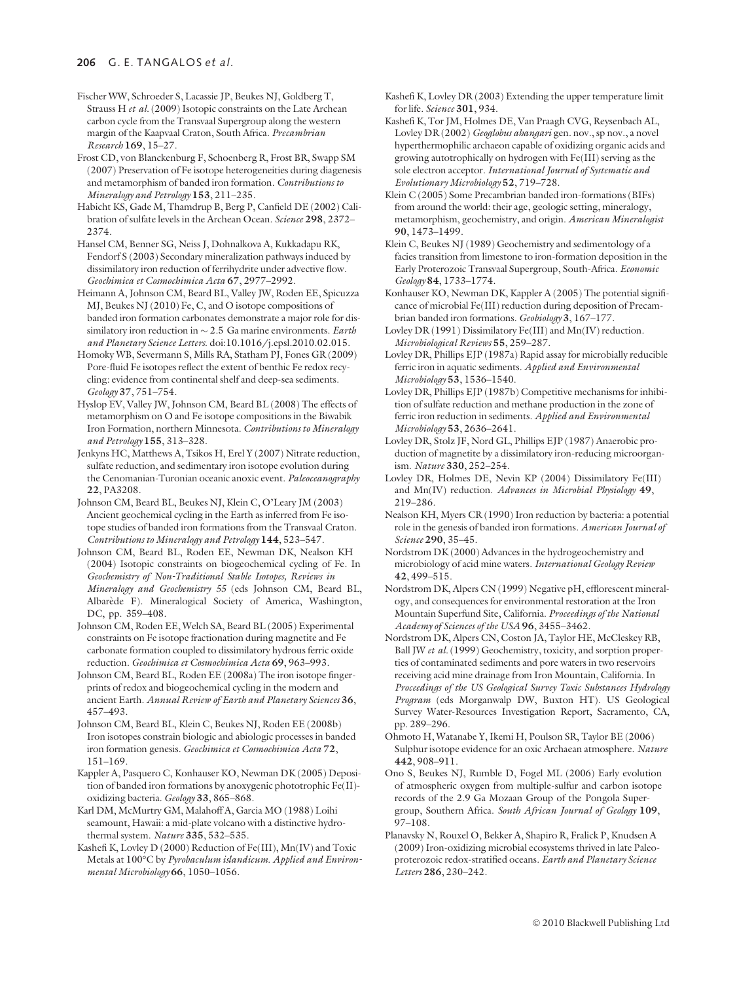Fischer WW, Schroeder S, Lacassie JP, Beukes NJ, Goldberg T, Strauss H et al. (2009) Isotopic constraints on the Late Archean carbon cycle from the Transvaal Supergroup along the western margin of the Kaapvaal Craton, South Africa. Precambrian Research 169, 15–27.

Frost CD, von Blanckenburg F, Schoenberg R, Frost BR, Swapp SM (2007) Preservation of Fe isotope heterogeneities during diagenesis and metamorphism of banded iron formation. Contributions to Mineralogy and Petrology 153, 211–235.

Habicht KS, Gade M, Thamdrup B, Berg P, Canfield DE (2002) Calibration of sulfate levels in the Archean Ocean. Science 298, 2372– 2374.

Hansel CM, Benner SG, Neiss J, Dohnalkova A, Kukkadapu RK, Fendorf S (2003) Secondary mineralization pathways induced by dissimilatory iron reduction of ferrihydrite under advective flow. Geochimica et Cosmochimica Acta 67, 2977–2992.

Heimann A, Johnson CM, Beard BL, Valley JW, Roden EE, Spicuzza MJ, Beukes NJ (2010) Fe, C, and O isotope compositions of banded iron formation carbonates demonstrate a major role for dissimilatory iron reduction in  $\sim$  2.5 Ga marine environments. Earth and Planetary Science Letters. doi:10.1016/j.epsl.2010.02.015.

Homoky WB, Severmann S, Mills RA, Statham PJ, Fones GR (2009) Pore-fluid Fe isotopes reflect the extent of benthic Fe redox recycling: evidence from continental shelf and deep-sea sediments. Geology 37, 751–754.

Hyslop EV, Valley JW, Johnson CM, Beard BL (2008) The effects of metamorphism on O and Fe isotope compositions in the Biwabik Iron Formation, northern Minnesota. Contributions to Mineralogy and Petrology 155, 313–328.

Jenkyns HC, Matthews A, Tsikos H, Erel Y (2007) Nitrate reduction, sulfate reduction, and sedimentary iron isotope evolution during the Cenomanian-Turonian oceanic anoxic event. Paleoceanography 22, PA3208.

Johnson CM, Beard BL, Beukes NJ, Klein C, O'Leary JM (2003) Ancient geochemical cycling in the Earth as inferred from Fe isotope studies of banded iron formations from the Transvaal Craton. Contributions to Mineralogy and Petrology 144, 523–547.

Johnson CM, Beard BL, Roden EE, Newman DK, Nealson KH (2004) Isotopic constraints on biogeochemical cycling of Fe. In Geochemistry of Non-Traditional Stable Isotopes, Reviews in Mineralogy and Geochemistry 55 (eds Johnson CM, Beard BL, Albarède F). Mineralogical Society of America, Washington, DC, pp. 359–408.

Johnson CM, Roden EE, Welch SA, Beard BL (2005) Experimental constraints on Fe isotope fractionation during magnetite and Fe carbonate formation coupled to dissimilatory hydrous ferric oxide reduction. Geochimica et Cosmochimica Acta 69, 963–993.

Johnson CM, Beard BL, Roden EE (2008a) The iron isotope fingerprints of redox and biogeochemical cycling in the modern and ancient Earth. Annual Review of Earth and Planetary Sciences 36, 457–493.

Johnson CM, Beard BL, Klein C, Beukes NJ, Roden EE (2008b) Iron isotopes constrain biologic and abiologic processes in banded iron formation genesis. Geochimica et Cosmochimica Acta 72, 151–169.

Kappler A, Pasquero C, Konhauser KO, Newman DK (2005) Deposition of banded iron formations by anoxygenic phototrophic Fe(II) oxidizing bacteria. Geology 33, 865–868.

Karl DM, McMurtry GM, Malahoff A, Garcia MO (1988) Loihi seamount, Hawaii: a mid-plate volcano with a distinctive hydrothermal system. Nature 335, 532-535.

Kashefi K, Lovley D (2000) Reduction of Fe(III), Mn(IV) and Toxic Metals at 100°C by Pyrobaculum islandicum. Applied and Environmental Microbiology 66, 1050–1056.

Kashefi K, Lovley DR (2003) Extending the upper temperature limit for life. Science 301, 934.

Kashefi K, Tor JM, Holmes DE, Van Praagh CVG, Reysenbach AL, Lovley DR (2002) Geoglobus ahangari gen. nov., sp nov., a novel hyperthermophilic archaeon capable of oxidizing organic acids and growing autotrophically on hydrogen with Fe(III) serving as the sole electron acceptor. International Iournal of Systematic and Evolutionary Microbiology 52, 719–728.

Klein C (2005) Some Precambrian banded iron-formations (BIFs) from around the world: their age, geologic setting, mineralogy, metamorphism, geochemistry, and origin. American Mineralogist 90, 1473–1499.

Klein C, Beukes NJ (1989) Geochemistry and sedimentology of a facies transition from limestone to iron-formation deposition in the Early Proterozoic Transvaal Supergroup, South-Africa. Economic Geology 84, 1733–1774.

Konhauser KO, Newman DK, Kappler A (2005) The potential significance of microbial Fe(III) reduction during deposition of Precambrian banded iron formations. Geobiology 3, 167–177.

Lovley DR (1991) Dissimilatory Fe(III) and Mn(IV) reduction. Microbiological Reviews 55, 259–287.

Lovley DR, Phillips EJP (1987a) Rapid assay for microbially reducible ferric iron in aquatic sediments. Applied and Environmental Microbiology 53, 1536–1540.

Lovley DR, Phillips EJP (1987b) Competitive mechanisms for inhibition of sulfate reduction and methane production in the zone of ferric iron reduction in sediments. Applied and Environmental Microbiology 53, 2636–2641.

Lovley DR, Stolz JF, Nord GL, Phillips EJP (1987) Anaerobic production of magnetite by a dissimilatory iron-reducing microorganism. Nature 330, 252–254.

Lovley DR, Holmes DE, Nevin KP (2004) Dissimilatory Fe(III) and Mn(IV) reduction. Advances in Microbial Physiology 49, 219–286.

Nealson KH, Myers CR (1990) Iron reduction by bacteria: a potential role in the genesis of banded iron formations. American Journal of Science 290, 35-45.

Nordstrom DK (2000) Advances in the hydrogeochemistry and microbiology of acid mine waters. International Geology Review 42, 499–515.

Nordstrom DK, Alpers CN (1999) Negative pH, efflorescent mineralogy, and consequences for environmental restoration at the Iron Mountain Superfund Site, California. Proceedings of the National Academy of Sciences of the USA 96, 3455–3462.

Nordstrom DK, Alpers CN, Coston JA, Taylor HE, McCleskey RB, Ball JW et al. (1999) Geochemistry, toxicity, and sorption properties of contaminated sediments and pore waters in two reservoirs receiving acid mine drainage from Iron Mountain, California. In Proceedings of the US Geological Survey Toxic Substances Hydrology Program (eds Morganwalp DW, Buxton HT). US Geological Survey Water-Resources Investigation Report, Sacramento, CA, pp. 289–296.

Ohmoto H, Watanabe Y, Ikemi H, Poulson SR, Taylor BE (2006) Sulphur isotope evidence for an oxic Archaean atmosphere. Nature 442, 908–911.

Ono S, Beukes NJ, Rumble D, Fogel ML (2006) Early evolution of atmospheric oxygen from multiple-sulfur and carbon isotope records of the 2.9 Ga Mozaan Group of the Pongola Supergroup, Southern Africa. South African Journal of Geology 109, 97–108.

Planavsky N, Rouxel O, Bekker A, Shapiro R, Fralick P, Knudsen A (2009) Iron-oxidizing microbial ecosystems thrived in late Paleoproterozoic redox-stratified oceans. Earth and Planetary Science Letters 286, 230–242.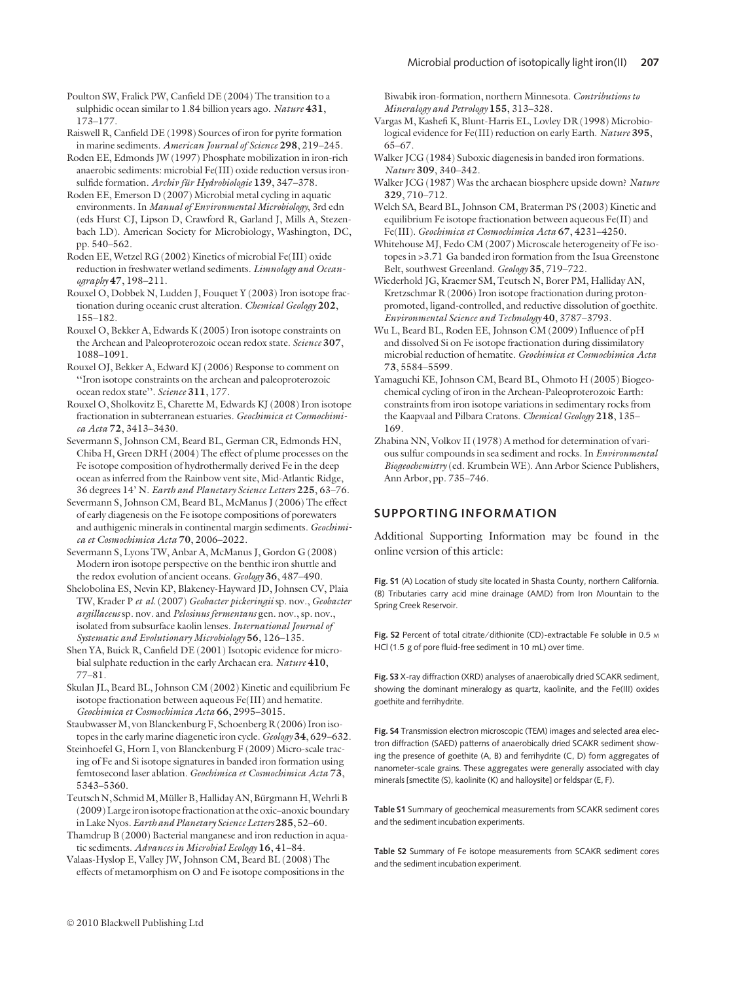Poulton SW, Fralick PW, Canfield DE (2004) The transition to a sulphidic ocean similar to 1.84 billion years ago. Nature 431, 173–177.

Raiswell R, Canfield DE (1998) Sources of iron for pyrite formation in marine sediments. American Journal of Science 298, 219–245.

Roden EE, Edmonds JW (1997) Phosphate mobilization in iron-rich anaerobic sediments: microbial Fe(III) oxide reduction versus ironsulfide formation. Archiv für Hydrobiologie 139, 347-378.

Roden EE, Emerson D (2007) Microbial metal cycling in aquatic environments. In Manual of Environmental Microbiology, 3rd edn (eds Hurst CJ, Lipson D, Crawford R, Garland J, Mills A, Stezenbach LD). American Society for Microbiology, Washington, DC, pp. 540–562.

Roden EE, Wetzel RG (2002) Kinetics of microbial Fe(III) oxide reduction in freshwater wetland sediments. Limnology and Oceanography 47, 198–211.

Rouxel O, Dobbek N, Ludden J, Fouquet Y (2003) Iron isotope fractionation during oceanic crust alteration. Chemical Geology 202, 155–182.

Rouxel O, Bekker A, Edwards K (2005) Iron isotope constraints on the Archean and Paleoproterozoic ocean redox state. Science 307, 1088–1091.

Rouxel OJ, Bekker A, Edward KJ (2006) Response to comment on ''Iron isotope constraints on the archean and paleoproterozoic ocean redox state''. Science 311, 177.

Rouxel O, Sholkovitz E, Charette M, Edwards KJ (2008) Iron isotope fractionation in subterranean estuaries. Geochimica et Cosmochimica Acta 72, 3413–3430.

Severmann S, Johnson CM, Beard BL, German CR, Edmonds HN, Chiba H, Green DRH (2004) The effect of plume processes on the Fe isotope composition of hydrothermally derived Fe in the deep ocean as inferred from the Rainbow vent site, Mid-Atlantic Ridge, 36 degrees 14' N. Earth and Planetary Science Letters 225, 63–76.

Severmann S, Johnson CM, Beard BL, McManus J (2006) The effect of early diagenesis on the Fe isotope compositions of porewaters and authigenic minerals in continental margin sediments. Geochimica et Cosmochimica Acta 70, 2006–2022.

Severmann S, Lyons TW, Anbar A, McManus J, Gordon G (2008) Modern iron isotope perspective on the benthic iron shuttle and the redox evolution of ancient oceans. Geology 36, 487–490.

Shelobolina ES, Nevin KP, Blakeney-Hayward JD, Johnsen CV, Plaia TW, Krader P et al. (2007) Geobacter pickeringii sp. nov., Geobacter argillaceus sp. nov. and Pelosinus fermentans gen. nov., sp. nov., isolated from subsurface kaolin lenses. International Journal of Systematic and Evolutionary Microbiology 56, 126–135.

Shen YA, Buick R, Canfield DE (2001) Isotopic evidence for microbial sulphate reduction in the early Archaean era. Nature 410, 77–81.

Skulan JL, Beard BL, Johnson CM (2002) Kinetic and equilibrium Fe isotope fractionation between aqueous Fe(III) and hematite. Geochimica et Cosmochimica Acta 66, 2995–3015.

Staubwasser M, von Blanckenburg F, Schoenberg R (2006) Iron isotopes in the early marine diagenetic iron cycle. Geology 34, 629–632.

Steinhoefel G, Horn I, von Blanckenburg F (2009) Micro-scale tracing of Fe and Si isotope signatures in banded iron formation using femtosecond laser ablation. Geochimica et Cosmochimica Acta 73, 5343–5360.

Teutsch N, Schmid M, Müller B, Halliday AN, Bürgmann H, Wehrli B (2009) Large iron isotope fractionation at the oxic–anoxic boundary in Lake Nyos. Earth and Planetary Science Letters 285, 52–60.

Thamdrup B (2000) Bacterial manganese and iron reduction in aquatic sediments. Advances in Microbial Ecology 16, 41–84.

Valaas-Hyslop E, Valley JW, Johnson CM, Beard BL (2008) The effects of metamorphism on O and Fe isotope compositions in the Biwabik iron-formation, northern Minnesota. Contributions to Mineralogy and Petrology 155, 313–328.

Vargas M, Kashefi K, Blunt-Harris EL, Lovley DR (1998) Microbiological evidence for Fe(III) reduction on early Earth. Nature 395, 65–67.

Walker JCG (1984) Suboxic diagenesis in banded iron formations. Nature 309, 340–342.

Walker JCG (1987) Was the archaean biosphere upside down? Nature 329, 710–712.

Welch SA, Beard BL, Johnson CM, Braterman PS (2003) Kinetic and equilibrium Fe isotope fractionation between aqueous Fe(II) and Fe(III). Geochimica et Cosmochimica Acta 67, 4231–4250.

Whitehouse MJ, Fedo CM (2007) Microscale heterogeneity of Fe isotopes in >3.71 Ga banded iron formation from the Isua Greenstone Belt, southwest Greenland. Geology 35, 719–722.

Wiederhold JG, Kraemer SM, Teutsch N, Borer PM, Halliday AN, Kretzschmar R (2006) Iron isotope fractionation during protonpromoted, ligand-controlled, and reductive dissolution of goethite. Environmental Science and Technology 40, 3787–3793.

Wu L, Beard BL, Roden EE, Johnson CM (2009) Influence of pH and dissolved Si on Fe isotope fractionation during dissimilatory microbial reduction of hematite. Geochimica et Cosmochimica Acta 73, 5584–5599.

Yamaguchi KE, Johnson CM, Beard BL, Ohmoto H (2005) Biogeochemical cycling of iron in the Archean-Paleoproterozoic Earth: constraints from iron isotope variations in sedimentary rocks from the Kaapvaal and Pilbara Cratons. Chemical Geology 218, 135-169.

Zhabina NN, Volkov II (1978) A method for determination of various sulfur compounds in sea sediment and rocks. In Environmental Biogeochemistry (ed. Krumbein WE). Ann Arbor Science Publishers, Ann Arbor, pp. 735–746.

### SUPPORTING INFORMATION

Additional Supporting Information may be found in the online version of this article:

Fig. S1 (A) Location of study site located in Shasta County, northern California. (B) Tributaries carry acid mine drainage (AMD) from Iron Mountain to the Spring Creek Reservoir.

Fig. S2 Percent of total citrate/dithionite (CD)-extractable Fe soluble in 0.5 M HCl (1.5 g of pore fluid-free sediment in 10 mL) over time.

Fig. S3 X-ray diffraction (XRD) analyses of anaerobically dried SCAKR sediment, showing the dominant mineralogy as quartz, kaolinite, and the Fe(III) oxides goethite and ferrihydrite.

Fig. S4 Transmission electron microscopic (TEM) images and selected area electron diffraction (SAED) patterns of anaerobically dried SCAKR sediment showing the presence of goethite (A, B) and ferrihydrite (C, D) form aggregates of nanometer-scale grains. These aggregates were generally associated with clay minerals [smectite (S), kaolinite (K) and halloysite] or feldspar (E, F).

Table S1 Summary of geochemical measurements from SCAKR sediment cores and the sediment incubation experiments.

Table S2 Summary of Fe isotope measurements from SCAKR sediment cores and the sediment incubation experiment.